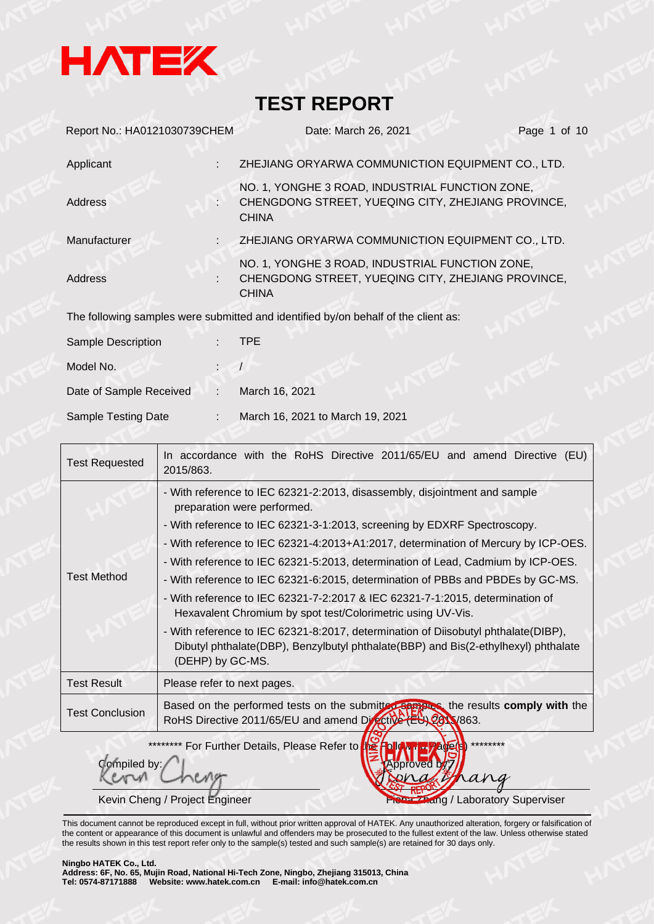

| Report No.: HA0121030739CHEM | Date: March 26, 2021<br>Page 1 of 10                                                                                  |  |
|------------------------------|-----------------------------------------------------------------------------------------------------------------------|--|
| Applicant                    | ZHEJIANG ORYARWA COMMUNICTION EQUIPMENT CO., LTD.                                                                     |  |
| Address                      | NO. 1, YONGHE 3 ROAD, INDUSTRIAL FUNCTION ZONE,<br>CHENGDONG STREET, YUEQING CITY, ZHEJIANG PROVINCE,<br><b>CHINA</b> |  |
| Manufacturer                 | ZHEJIANG ORYARWA COMMUNICTION EQUIPMENT CO., LTD.                                                                     |  |
| <b>Address</b>               | NO. 1, YONGHE 3 ROAD, INDUSTRIAL FUNCTION ZONE,<br>CHENGDONG STREET, YUEQING CITY, ZHEJIANG PROVINCE,<br><b>CHINA</b> |  |
|                              | The following samples were submitted and identified by/on behalf of the client as:                                    |  |
| Sample Description           | <b>TPE</b>                                                                                                            |  |
| Model No.                    |                                                                                                                       |  |
| Date of Sample Received<br>÷ | March 16, 2021                                                                                                        |  |
| Sample Testing Date          | March 16, 2021 to March 19, 2021                                                                                      |  |

| <b>Test Requested</b>  | In accordance with the RoHS Directive 2011/65/EU and amend Directive (EU)<br>2015/863.                                                                                                                                                                                                                                                                                                                                                                                                                                                                                                                                                                                                                                                                                                             |
|------------------------|----------------------------------------------------------------------------------------------------------------------------------------------------------------------------------------------------------------------------------------------------------------------------------------------------------------------------------------------------------------------------------------------------------------------------------------------------------------------------------------------------------------------------------------------------------------------------------------------------------------------------------------------------------------------------------------------------------------------------------------------------------------------------------------------------|
| <b>Test Method</b>     | - With reference to IEC 62321-2:2013, disassembly, disjointment and sample<br>preparation were performed.<br>- With reference to IEC 62321-3-1:2013, screening by EDXRF Spectroscopy.<br>- With reference to IEC 62321-4:2013+A1:2017, determination of Mercury by ICP-OES.<br>- With reference to IEC 62321-5:2013, determination of Lead, Cadmium by ICP-OES.<br>- With reference to IEC 62321-6:2015, determination of PBBs and PBDEs by GC-MS.<br>- With reference to IEC 62321-7-2:2017 & IEC 62321-7-1:2015, determination of<br>Hexavalent Chromium by spot test/Colorimetric using UV-Vis.<br>- With reference to IEC 62321-8:2017, determination of Diisobutyl phthalate(DIBP),<br>Dibutyl phthalate(DBP), Benzylbutyl phthalate(BBP) and Bis(2-ethylhexyl) phthalate<br>(DEHP) by GC-MS. |
| <b>Test Result</b>     | Please refer to next pages.                                                                                                                                                                                                                                                                                                                                                                                                                                                                                                                                                                                                                                                                                                                                                                        |
| <b>Test Conclusion</b> | Based on the performed tests on the submitter samples the results comply with the<br>RoHS Directive 2011/65/EU and amend Directive (EU) 2011/863.                                                                                                                                                                                                                                                                                                                                                                                                                                                                                                                                                                                                                                                  |

\*\*\*\*\*\*\*\* For Further Details, Please Refer to

Kevin Cheng / Project Engineer Fisch Andrew Fisch Zhang / Laboratory Superviser

This document cannot be reproduced except in full, without prior written approval of HATEK. Any unauthorized alteration, forgery or falsification of the content or appearance of this document is unlawful and offenders may be prosecuted to the fullest extent of the law. Unless otherwise stated the results shown in this test report refer only to the sample(s) tested and such sample(s) are retained for 30 days only.

#### **Ningbo HATEK Co., Ltd.**

mpiled by:

**Address: 6F, No. 65, Mujin Road, National Hi-Tech Zone, Ningbo, Zhejiang 315013, China Tel: 0574-87171888 Website: www.hatek.com.cn E-mail: info@hatek.com.cn**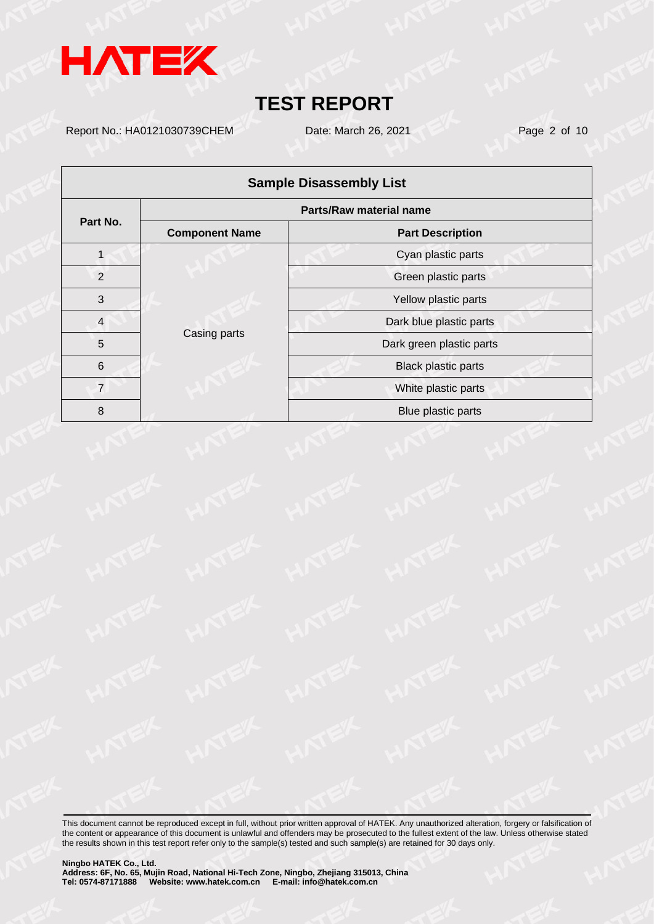

Report No.: HA0121030739CHEM Date: March 26, 2021 Page 2 of 10

| <b>Sample Disassembly List</b> |                                                                               |                            |  |  |  |  |  |
|--------------------------------|-------------------------------------------------------------------------------|----------------------------|--|--|--|--|--|
|                                | <b>Parts/Raw material name</b>                                                |                            |  |  |  |  |  |
| Part No.                       | <b>Component Name</b><br><b>Part Description</b>                              |                            |  |  |  |  |  |
|                                |                                                                               | Cyan plastic parts         |  |  |  |  |  |
| $\overline{2}$                 | 3<br>$\overline{4}$<br>Casing parts<br>5<br>$6\phantom{1}6$<br>$\overline{7}$ | Green plastic parts        |  |  |  |  |  |
|                                |                                                                               | Yellow plastic parts       |  |  |  |  |  |
|                                |                                                                               | Dark blue plastic parts    |  |  |  |  |  |
|                                |                                                                               | Dark green plastic parts   |  |  |  |  |  |
|                                |                                                                               | <b>Black plastic parts</b> |  |  |  |  |  |
|                                |                                                                               | White plastic parts        |  |  |  |  |  |
| 8                              |                                                                               | Blue plastic parts         |  |  |  |  |  |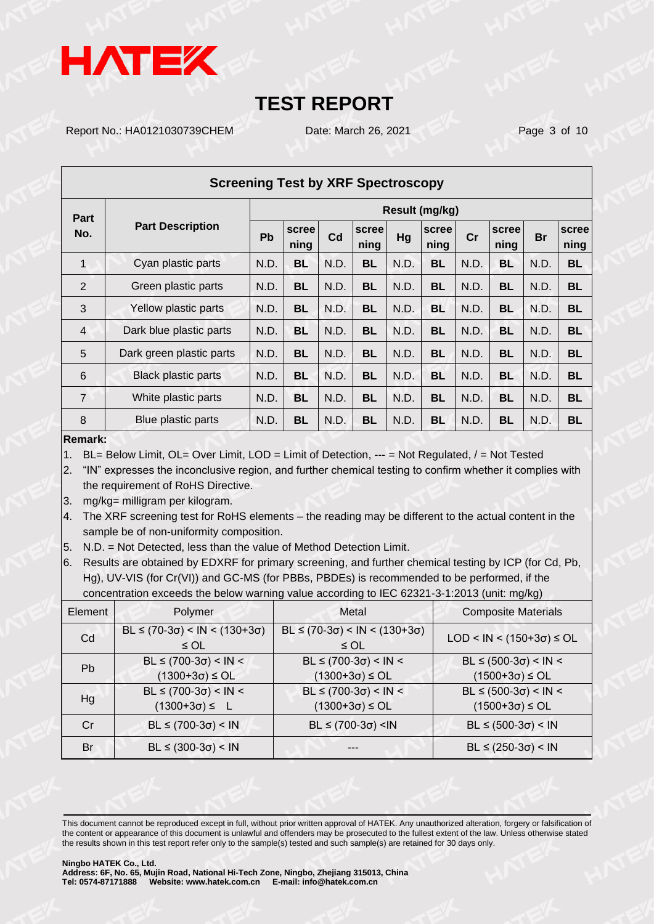

Report No.: HA0121030739CHEM Date: March 26, 2021 Page 3 of 10

| <b>Screening Test by XRF Spectroscopy</b> |                            |                |               |      |               |      |               |      |               |           |               |
|-------------------------------------------|----------------------------|----------------|---------------|------|---------------|------|---------------|------|---------------|-----------|---------------|
| Part                                      |                            | Result (mg/kg) |               |      |               |      |               |      |               |           |               |
| No.                                       | <b>Part Description</b>    | Pb             | scree<br>ning | Cd   | scree<br>ning | Hg   | scree<br>ning | cr   | scree<br>ning | <b>Br</b> | scree<br>ning |
| $\mathbf 1$                               | Cyan plastic parts         | N.D.           | <b>BL</b>     | N.D. | <b>BL</b>     | N.D. | <b>BL</b>     | N.D. | <b>BL</b>     | N.D.      | <b>BL</b>     |
| 2                                         | Green plastic parts        | N.D.           | <b>BL</b>     | N.D. | <b>BL</b>     | N.D. | <b>BL</b>     | N.D. | BL            | N.D.      | <b>BL</b>     |
| 3                                         | Yellow plastic parts       | N.D.           | BL            | N.D. | <b>BL</b>     | N.D. | <b>BL</b>     | N.D. | <b>BL</b>     | N.D.      | <b>BL</b>     |
| $\overline{4}$                            | Dark blue plastic parts    | N.D.           | <b>BL</b>     | N.D. | <b>BL</b>     | N.D. | <b>BL</b>     | N.D. | <b>BL</b>     | N.D.      | <b>BL</b>     |
| 5                                         | Dark green plastic parts   | N.D.           | <b>BL</b>     | N.D. | <b>BL</b>     | N.D. | <b>BL</b>     | N.D. | BL            | N.D.      | <b>BL</b>     |
| 6                                         | <b>Black plastic parts</b> | N.D.           | <b>BL</b>     | N.D. | <b>BL</b>     | N.D. | <b>BL</b>     | N.D. | <b>BL</b>     | N.D.      | <b>BL</b>     |
| $\overline{7}$                            | White plastic parts        | N.D.           | <b>BL</b>     | N.D. | <b>BL</b>     | N.D. | <b>BL</b>     | N.D. | <b>BL</b>     | N.D.      | <b>BL</b>     |
| 8                                         | Blue plastic parts         | N.D.           | BL            | N.D. | <b>BL</b>     | N.D. | <b>BL</b>     | N.D. | BL            | N.D.      | <b>BL</b>     |

### **Remark:**

1. BL= Below Limit, OL= Over Limit, LOD = Limit of Detection, --- = Not Regulated, / = Not Tested

2. "IN" expresses the inconclusive region, and further chemical testing to confirm whether it complies with the requirement of RoHS Directive.

- 3. mg/kg= milligram per kilogram.
- 4. The XRF screening test for RoHS elements the reading may be different to the actual content in the sample be of non-uniformity composition.
- 5. N.D. = Not Detected, less than the value of Method Detection Limit.

6. Results are obtained by EDXRF for primary screening, and further chemical testing by ICP (for Cd, Pb, Hg), UV-VIS (for Cr(VI)) and GC-MS (for PBBs, PBDEs) is recommended to be performed, if the concentration exceeds the below warning value according to IEC 62321-3-1:2013 (unit: mg/kg)

| Element | Polymer                                                 | Metal                                                   | ັັ<br><b>Composite Materials</b>                    |
|---------|---------------------------------------------------------|---------------------------------------------------------|-----------------------------------------------------|
| Cd      | $BL \le (70-3\sigma) < IN < (130+3\sigma)$<br>$\leq$ OL | $BL \le (70-3\sigma) < IN < (130+3\sigma)$<br>$\leq$ OL | LOD < IN < $(150+3σ)$ ≤ OL                          |
| Pb      | $BL ≤ (700-3σ) < IN <$<br>$(1300+3\sigma) \leq O L$     | $BL ≤ (700-3σ) < IN <$<br>$(1300+3\sigma) \leq O L$     | $BL ≤ (500-3σ) < IN <$<br>$(1500+3\sigma) \leq O L$ |
| Hg      | $BL ≤ (700-3σ) < IN <$<br>$(1300+3\sigma) \le L$        | $BL ≤ (700-3σ) < IN <$<br>$(1300+3\sigma) \leq O L$     | $BL ≤ (500-3σ) < IN <$<br>$(1500+3\sigma) \leq O L$ |
| Cr      | $BL ≤ (700-3σ) < IN$                                    | $BL ≤ (700-3σ) < IN$                                    | $BL ≤ (500-3σ) < IN$                                |
| Br      | $BL ≤ (300-3σ) < IN$                                    |                                                         | $BL ≤ (250-3σ) < IN$                                |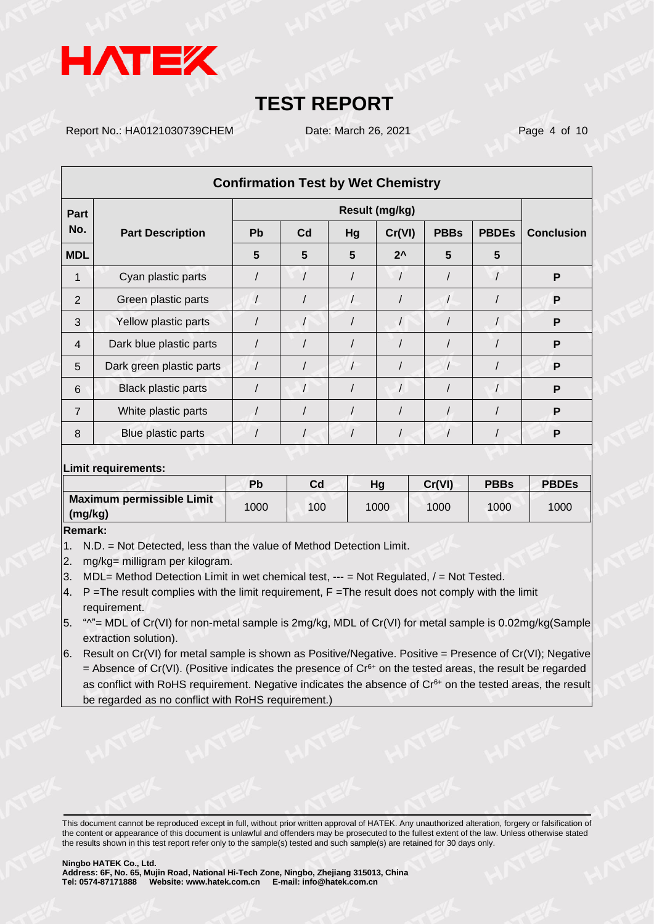

Report No.: HA0121030739CHEM Date: March 26, 2021 Page 4 of 10

| <b>Confirmation Test by Wet Chemistry</b> |                            |           |                |    |               |             |              |                   |
|-------------------------------------------|----------------------------|-----------|----------------|----|---------------|-------------|--------------|-------------------|
| Part                                      |                            |           |                |    |               |             |              |                   |
| No.                                       | <b>Part Description</b>    | <b>Pb</b> | C <sub>d</sub> | Hg | Cr(VI)        | <b>PBBs</b> | <b>PBDEs</b> | <b>Conclusion</b> |
| <b>MDL</b>                                |                            | 5         | 5              | 5  | $2^{\lambda}$ | 5           | 5            |                   |
| 1                                         | Cyan plastic parts         |           |                |    |               |             |              | P                 |
| 2                                         | Green plastic parts        |           |                |    |               |             |              | P                 |
| 3                                         | Yellow plastic parts       |           |                |    | $\prime$      |             |              | P                 |
| $\overline{4}$                            | Dark blue plastic parts    |           |                |    |               |             |              | P                 |
| 5                                         | Dark green plastic parts   |           |                |    |               |             |              | P                 |
| 6                                         | <b>Black plastic parts</b> |           | $\prime$       |    |               |             |              | P                 |
| 7                                         | White plastic parts        |           |                |    |               |             |              | P                 |
| 8                                         | Blue plastic parts         |           |                |    |               |             |              | P                 |

### **Limit requirements:**

|                                      | Pb   | Cd  | Ha   | Cr(VI) | <b>PBBs</b> | <b>PBDEs</b> |
|--------------------------------------|------|-----|------|--------|-------------|--------------|
| Maximum permissible Limit<br>(mg/kg) | 1000 | 100 | 1000 | 1000   | 1000        | 1000         |

**Remark:**

- 1. N.D. = Not Detected, less than the value of Method Detection Limit.
- 2. mg/kg= milligram per kilogram.
- 3. MDL= Method Detection Limit in wet chemical test, --- = Not Regulated, / = Not Tested.
- 4. P = The result complies with the limit requirement, F = The result does not comply with the limit requirement.
- 5. "^"= MDL of Cr(VI) for non-metal sample is 2mg/kg, MDL of Cr(VI) for metal sample is 0.02mg/kg(Sample extraction solution).
- 6. Result on Cr(VI) for metal sample is shown as Positive/Negative. Positive = Presence of Cr(VI); Negative = Absence of Cr(VI). (Positive indicates the presence of  $Cr<sup>6+</sup>$  on the tested areas, the result be regarded as conflict with RoHS requirement. Negative indicates the absence of Cr<sup>6+</sup> on the tested areas, the result be regarded as no conflict with RoHS requirement.)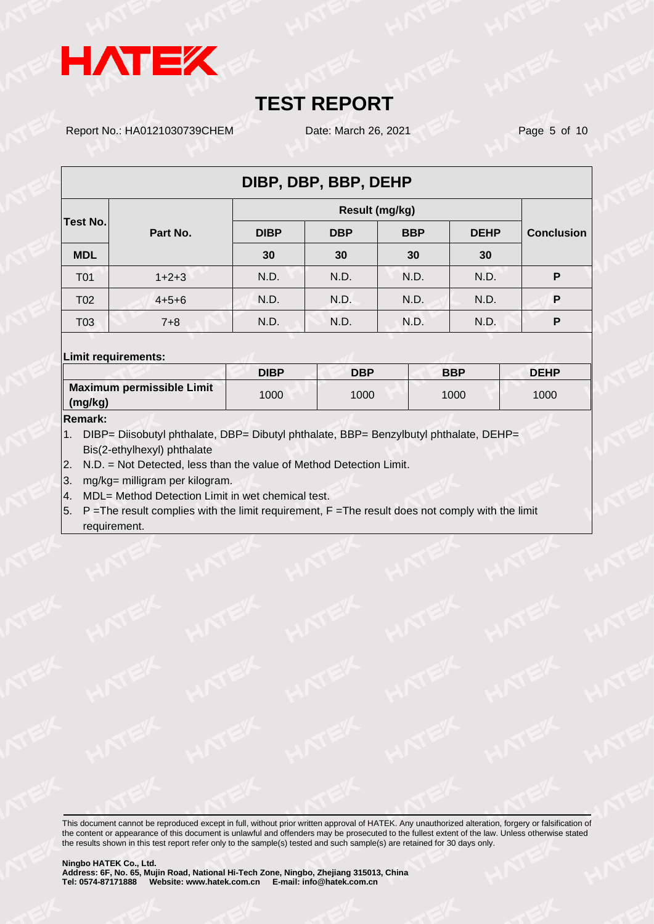

Report No.: HA0121030739CHEM Date: March 26, 2021 Page 5 of 10

| DIBP, DBP, BBP, DEHP |             |             |            |            |             |                   |  |  |
|----------------------|-------------|-------------|------------|------------|-------------|-------------------|--|--|
| <b>Test No.</b>      |             |             |            |            |             |                   |  |  |
|                      | Part No.    | <b>DIBP</b> | <b>DBP</b> | <b>BBP</b> | <b>DEHP</b> | <b>Conclusion</b> |  |  |
| <b>MDL</b>           |             | 30          | 30         | 30         | 30          |                   |  |  |
| T <sub>0</sub> 1     | $1+2+3$     | N.D.        | N.D.       | N.D.       | N.D.        | P                 |  |  |
| T <sub>02</sub>      | $4 + 5 + 6$ | N.D.        | N.D.       | N.D.       | N.D.        | P                 |  |  |
| T03                  | $7 + 8$     | N.D.        | N.D.       | N.D.       | N.D.        | P                 |  |  |

### **Limit requirements:**

|                                             | <b>DIBP</b> | <b>DBP</b> | <b>BBP</b> | <b>DEHP</b> |
|---------------------------------------------|-------------|------------|------------|-------------|
| Maximum permissible Limit<br>$\mid$ (mg/kg) | 1000        | 1000       | 1000       | 1000        |
| $-$                                         |             |            |            |             |

### **Remark:**

1. DIBP= Diisobutyl phthalate, DBP= Dibutyl phthalate, BBP= Benzylbutyl phthalate, DEHP= Bis(2-ethylhexyl) phthalate

2. N.D. = Not Detected, less than the value of Method Detection Limit.

3. mg/kg= milligram per kilogram.

- 4. MDL= Method Detection Limit in wet chemical test.
- 5.  $P = The result$  complies with the limit requirement,  $F = The$  result does not comply with the limit requirement.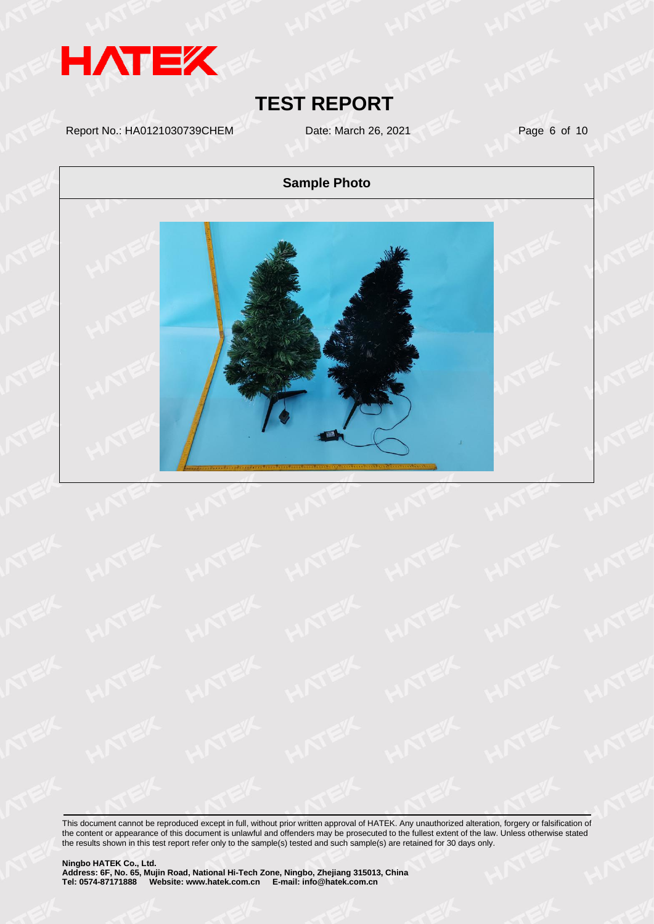

Report No.: HA0121030739CHEM Date: March 26, 2021 Page 6 of 10

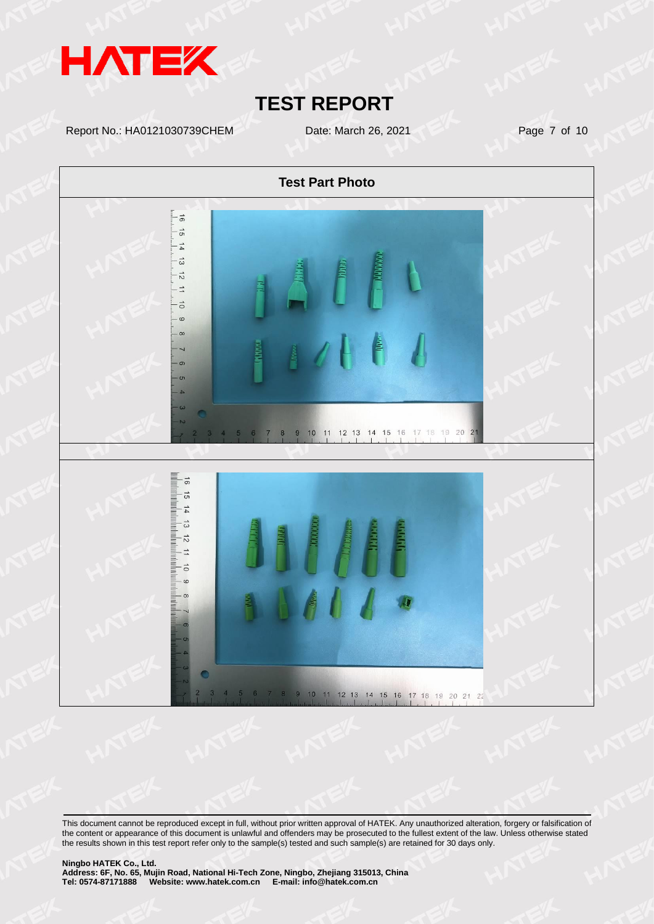

Report No.: HA0121030739CHEM Date: March 26, 2021 Page 7 of 10

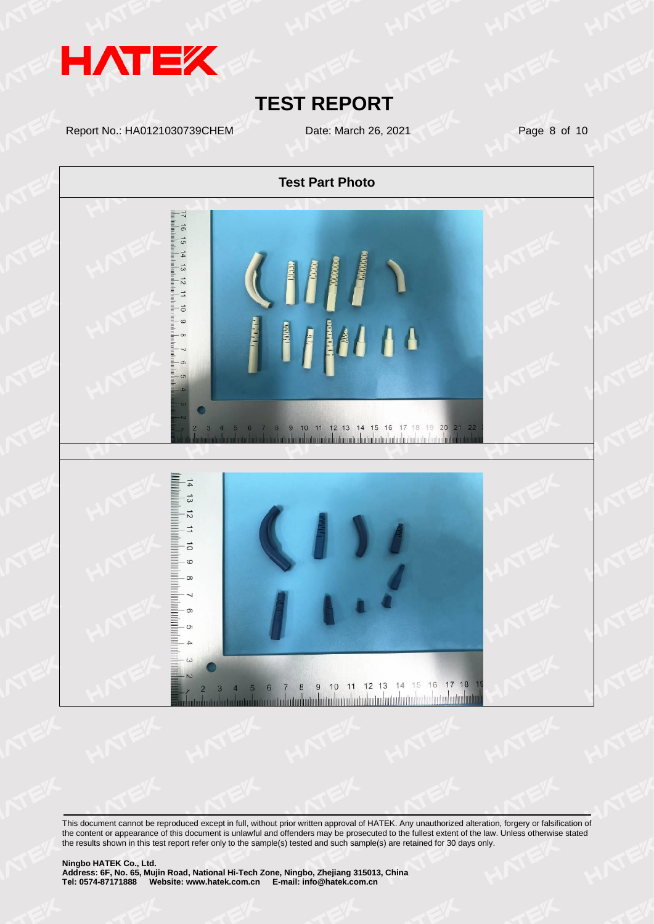

Report No.: HA0121030739CHEM Date: March 26, 2021 Page 8 of 10

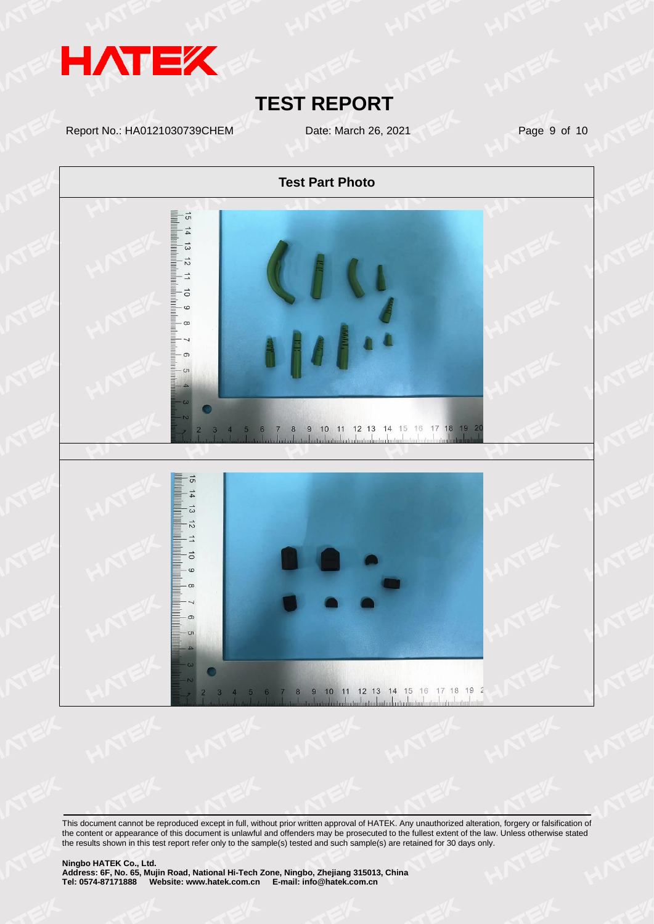

Report No.: HA0121030739CHEM Date: March 26, 2021 Page 9 of 10